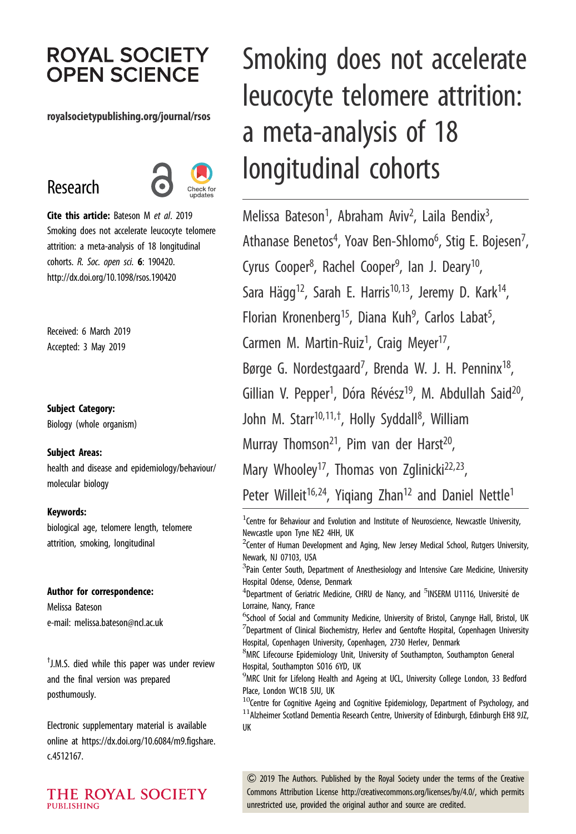# **ROYAL SOCIETY OPEN SCIENCE**

#### royalsocietypublishing.org/journal/rsos

# Research



Cite this article: Bateson M et al. 2019 Smoking does not accelerate leucocyte telomere attrition: a meta-analysis of 18 longitudinal cohorts. R. Soc. open sci. 6: 190420. http://dx.doi.org/10.1098/rsos.190420

Received: 6 March 2019 Accepted: 3 May 2019

#### Subject Category:

Biology (whole organism)

#### Subject Areas:

health and disease and epidemiology/behaviour/ molecular biology

#### Keywords:

biological age, telomere length, telomere attrition, smoking, longitudinal

#### Author for correspondence:

Melissa Bateson e-mail: [melissa.bateson@ncl.ac.uk](mailto:melissa.bateson@ncl.ac.uk)

† J.M.S. died while this paper was under review and the final version was prepared posthumously.

Electronic supplementary material is available online at [https://dx.doi.org/10.6084/m9.figshare.](https://dx.doi.org/10.6084/m9.figshare.c.4512167) [c.4512167.](https://dx.doi.org/10.6084/m9.figshare.c.4512167)

THE ROYAL SOCIETY **PUBLISHING** 

# Smoking does not accelerate leucocyte telomere attrition: a meta-analysis of 18 longitudinal cohorts

Melissa Bateson<sup>1</sup>, Abraham Aviv<sup>2</sup>, Laila Bendix<sup>3</sup> , Athanase Benetos<sup>4</sup>, Yoav Ben-Shlomo<sup>6</sup>, Stig E. Bojesen<sup>7</sup> , Cyrus Cooper<sup>8</sup>, Rachel Cooper<sup>9</sup>, Ian J. Deary<sup>10</sup>, Sara Hägg<sup>12</sup>, Sarah E. Harris<sup>10,13</sup>, Jeremy D. Kark<sup>14</sup>, Florian Kronenberg<sup>15</sup>, Diana Kuh<sup>9</sup>, Carlos Labat<sup>5</sup> , Carmen M. Martin-Ruiz<sup>1</sup>, Craig Meyer<sup>17</sup>, Børge G. Nordestgaard<sup>7</sup>, Brenda W. J. H. Penninx<sup>18</sup>, Gillian V. Pepper<sup>1</sup>, Dóra Révész<sup>19</sup>, M. Abdullah Said<sup>20</sup>, John M. Starr<sup>10,11,†</sup>, Holly Syddall<sup>8</sup>, William Murray Thomson<sup>21</sup>, Pim van der Harst<sup>20</sup>, Mary Whooley<sup>17</sup>, Thomas von Zglinicki<sup>22,23</sup>, Peter Willeit<sup>16,24</sup>, Yigiang Zhan<sup>12</sup> and Daniel Nettle<sup>1</sup>

 $1$ Centre for Behaviour and Evolution and Institute of Neuroscience, Newcastle University, Newcastle upon Tyne NE2 4HH, UK

 $^2$ Center of Human Development and Aging, New Jersey Medical School, Rutgers University, Newark, NJ 07103, USA

 ${}^{3}$ Pain Center South, Department of Anesthesiology and Intensive Care Medicine, University Hospital Odense, Odense, Denmark

<sup>4</sup>Department of Geriatric Medicine, CHRU de Nancy, and <sup>5</sup>INSERM U1116, Université de Lorraine, Nancy, France

<sup>6</sup>School of Social and Community Medicine, University of Bristol, Canynge Hall, Bristol, UK  $^7$ Department of Clinical Biochemistry, Herlev and Gentofte Hospital, Copenhagen University Hospital, Copenhagen University, Copenhagen, 2730 Herlev, Denmark

8 MRC Lifecourse Epidemiology Unit, University of Southampton, Southampton General Hospital, Southampton SO16 6YD, UK

 $^9$ MRC Unit for Lifelong Health and Ageing at UCL, University College London, 33 Bedford Place, London WC1B 5JU, UK

 $10$ Centre for Cognitive Ageing and Cognitive Epidemiology, Department of Psychology, and  $11$ Alzheimer Scotland Dementia Research Centre, University of Edinburgh, Edinburgh EH8 9JZ, UK

& 2019 The Authors. Published by the Royal Society under the terms of the Creative Commons Attribution License<http://creativecommons.org/licenses/by/4.0/>, which permits unrestricted use, provided the original author and source are credited.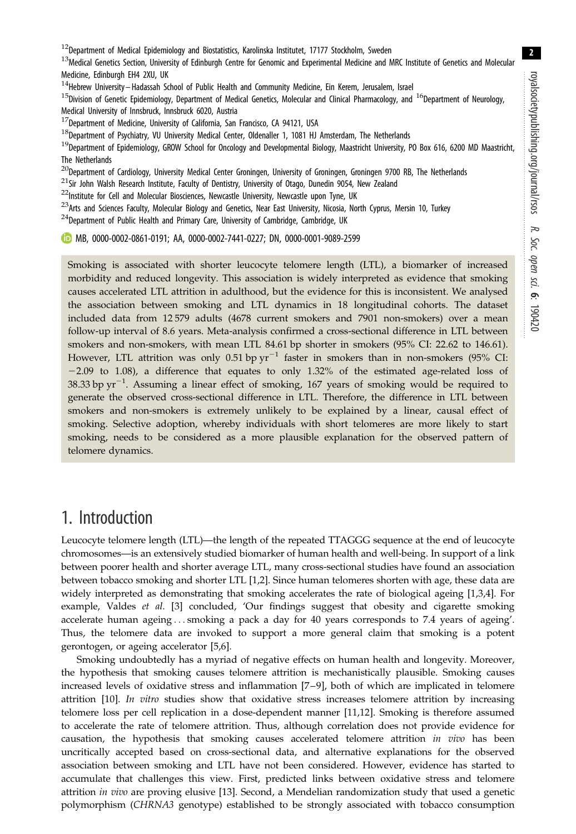$12$ Department of Medical Epidemiology and Biostatistics, Karolinska Institutet, 17177 Stockholm, Sweden

13Medical Genetics Section, University of Edinburgh Centre for Genomic and Experimental Medicine and MRC Institute of Genetics and Molecular Medicine, Edinburgh EH4 2XU, UK

<sup>14</sup>Hebrew University–Hadassah School of Public Health and Community Medicine, Ein Kerem, Jerusalem, Israel

<sup>15</sup>Division of Genetic Epidemiology, Department of Medical Genetics, Molecular and Clinical Pharmacology, and <sup>16</sup>Department of Neurology, Medical University of Innsbruck, Innsbruck 6020, Austria

 $17$ Department of Medicine, University of California, San Francisco, CA 94121, USA

 $18$ Department of Psychiatry, VU University Medical Center, Oldenaller 1, 1081 HJ Amsterdam, The Netherlands

<sup>19</sup>Department of Epidemiology, GROW School for Oncology and Developmental Biology, Maastricht University, PO Box 616, 6200 MD Maastricht, The Netherlands

 $^{20}$ Department of Cardiology, University Medical Center Groningen, University of Groningen, Groningen 9700 RB, The Netherlands

 $^{21}$ Sir John Walsh Research Institute, Faculty of Dentistry, University of Otago, Dunedin 9054, New Zealand

 $22$ Institute for Cell and Molecular Biosciences, Newcastle University, Newcastle upon Tyne, UK

<sup>23</sup>Arts and Sciences Faculty, Molecular Biology and Genetics, Near East University, Nicosia, North Cyprus, Mersin 10, Turkey

 $^{24}$ Department of Public Health and Primary Care, University of Cambridge, Cambridge, UK

MB, [0000-0002-0861-0191;](http://orcid.org/0000-0002-0861-0191) AA, [0000-0002-7441-0227;](http://orcid.org/0000-0002-7441-0227) DN, [0000-0001-9089-2599](http://orcid.org/0000-0001-9089-2599)

Smoking is associated with shorter leucocyte telomere length (LTL), a biomarker of increased morbidity and reduced longevity. This association is widely interpreted as evidence that smoking causes accelerated LTL attrition in adulthood, but the evidence for this is inconsistent. We analysed the association between smoking and LTL dynamics in 18 longitudinal cohorts. The dataset included data from 12 579 adults (4678 current smokers and 7901 non-smokers) over a mean follow-up interval of 8.6 years. Meta-analysis confirmed a cross-sectional difference in LTL between smokers and non-smokers, with mean LTL 84.61 bp shorter in smokers (95% CI: 22.62 to 146.61). However, LTL attrition was only 0.51 bp  $yr^{-1}$  faster in smokers than in non-smokers (95% CI:  $-2.09$  to 1.08), a difference that equates to only 1.32% of the estimated age-related loss of 38.33 bp  $yr^{-1}$ . Assuming a linear effect of smoking, 167 years of smoking would be required to generate the observed cross-sectional difference in LTL. Therefore, the difference in LTL between smokers and non-smokers is extremely unlikely to be explained by a linear, causal effect of smoking. Selective adoption, whereby individuals with short telomeres are more likely to start smoking, needs to be considered as a more plausible explanation for the observed pattern of telomere dynamics.

## 1. Introduction

Leucocyte telomere length (LTL)—the length of the repeated TTAGGG sequence at the end of leucocyte chromosomes—is an extensively studied biomarker of human health and well-being. In support of a link between poorer health and shorter average LTL, many cross-sectional studies have found an association between tobacco smoking and shorter LTL [[1](#page-14-0),[2](#page-14-0)]. Since human telomeres shorten with age, these data are widely interpreted as demonstrating that smoking accelerates the rate of biological ageing [[1,3,4\]](#page-14-0). For example, Valdes et al. [\[3\]](#page-14-0) concluded, 'Our findings suggest that obesity and cigarette smoking accelerate human ageing ... smoking a pack a day for 40 years corresponds to 7.4 years of ageing'. Thus, the telomere data are invoked to support a more general claim that smoking is a potent gerontogen, or ageing accelerator [[5,6\]](#page-14-0).

Smoking undoubtedly has a myriad of negative effects on human health and longevity. Moreover, the hypothesis that smoking causes telomere attrition is mechanistically plausible. Smoking causes increased levels of oxidative stress and inflammation [[7](#page-14-0)–[9](#page-14-0)], both of which are implicated in telomere attrition [[10\]](#page-14-0). In vitro studies show that oxidative stress increases telomere attrition by increasing telomere loss per cell replication in a dose-dependent manner [[11,12](#page-14-0)]. Smoking is therefore assumed to accelerate the rate of telomere attrition. Thus, although correlation does not provide evidence for causation, the hypothesis that smoking causes accelerated telomere attrition in vivo has been uncritically accepted based on cross-sectional data, and alternative explanations for the observed association between smoking and LTL have not been considered. However, evidence has started to accumulate that challenges this view. First, predicted links between oxidative stress and telomere attrition in vivo are proving elusive [\[13](#page-14-0)]. Second, a Mendelian randomization study that used a genetic polymorphism (CHRNA3 genotype) established to be strongly associated with tobacco consumption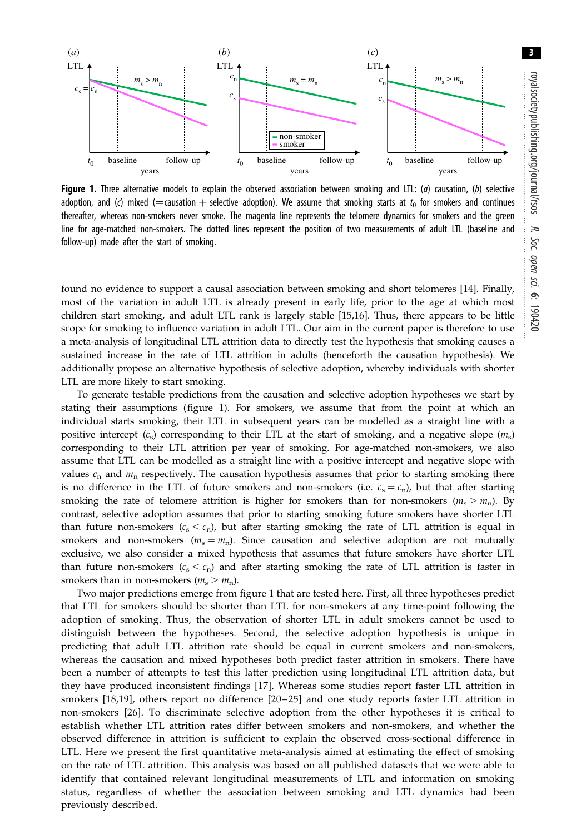<span id="page-2-0"></span>

Figure 1. Three alternative models to explain the observed association between smoking and LTL:  $(a)$  causation,  $(b)$  selective adoption, and (c) mixed (=causation + selective adoption). We assume that smoking starts at  $t_0$  for smokers and continues thereafter, whereas non-smokers never smoke. The magenta line represents the telomere dynamics for smokers and the green line for age-matched non-smokers. The dotted lines represent the position of two measurements of adult LTL (baseline and follow-up) made after the start of smoking.

found no evidence to support a causal association between smoking and short telomeres [[14\]](#page-14-0). Finally, most of the variation in adult LTL is already present in early life, prior to the age at which most children start smoking, and adult LTL rank is largely stable [[15,16](#page-14-0)]. Thus, there appears to be little scope for smoking to influence variation in adult LTL. Our aim in the current paper is therefore to use a meta-analysis of longitudinal LTL attrition data to directly test the hypothesis that smoking causes a sustained increase in the rate of LTL attrition in adults (henceforth the causation hypothesis). We additionally propose an alternative hypothesis of selective adoption, whereby individuals with shorter LTL are more likely to start smoking.

To generate testable predictions from the causation and selective adoption hypotheses we start by stating their assumptions (figure 1). For smokers, we assume that from the point at which an individual starts smoking, their LTL in subsequent years can be modelled as a straight line with a positive intercept  $(c<sub>s</sub>)$  corresponding to their LTL at the start of smoking, and a negative slope  $(m<sub>s</sub>)$ corresponding to their LTL attrition per year of smoking. For age-matched non-smokers, we also assume that LTL can be modelled as a straight line with a positive intercept and negative slope with values  $c_n$  and  $m_n$  respectively. The causation hypothesis assumes that prior to starting smoking there is no difference in the LTL of future smokers and non-smokers (i.e.  $c_s = c_n$ ), but that after starting smoking the rate of telomere attrition is higher for smokers than for non-smokers ( $m_s > m_n$ ). By contrast, selective adoption assumes that prior to starting smoking future smokers have shorter LTL than future non-smokers  $(c_s < c_n)$ , but after starting smoking the rate of LTL attrition is equal in smokers and non-smokers ( $m_s = m_n$ ). Since causation and selective adoption are not mutually exclusive, we also consider a mixed hypothesis that assumes that future smokers have shorter LTL than future non-smokers  $(c_s < c_n)$  and after starting smoking the rate of LTL attrition is faster in smokers than in non-smokers ( $m_s > m_n$ ).

Two major predictions emerge from figure 1 that are tested here. First, all three hypotheses predict that LTL for smokers should be shorter than LTL for non-smokers at any time-point following the adoption of smoking. Thus, the observation of shorter LTL in adult smokers cannot be used to distinguish between the hypotheses. Second, the selective adoption hypothesis is unique in predicting that adult LTL attrition rate should be equal in current smokers and non-smokers, whereas the causation and mixed hypotheses both predict faster attrition in smokers. There have been a number of attempts to test this latter prediction using longitudinal LTL attrition data, but they have produced inconsistent findings [[17](#page-14-0)]. Whereas some studies report faster LTL attrition in smokers [[18](#page-14-0),[19\]](#page-14-0), others report no difference [[20](#page-14-0)-25] and one study reports faster LTL attrition in non-smokers [[26\]](#page-15-0). To discriminate selective adoption from the other hypotheses it is critical to establish whether LTL attrition rates differ between smokers and non-smokers, and whether the observed difference in attrition is sufficient to explain the observed cross-sectional difference in LTL. Here we present the first quantitative meta-analysis aimed at estimating the effect of smoking on the rate of LTL attrition. This analysis was based on all published datasets that we were able to identify that contained relevant longitudinal measurements of LTL and information on smoking status, regardless of whether the association between smoking and LTL dynamics had been previously described.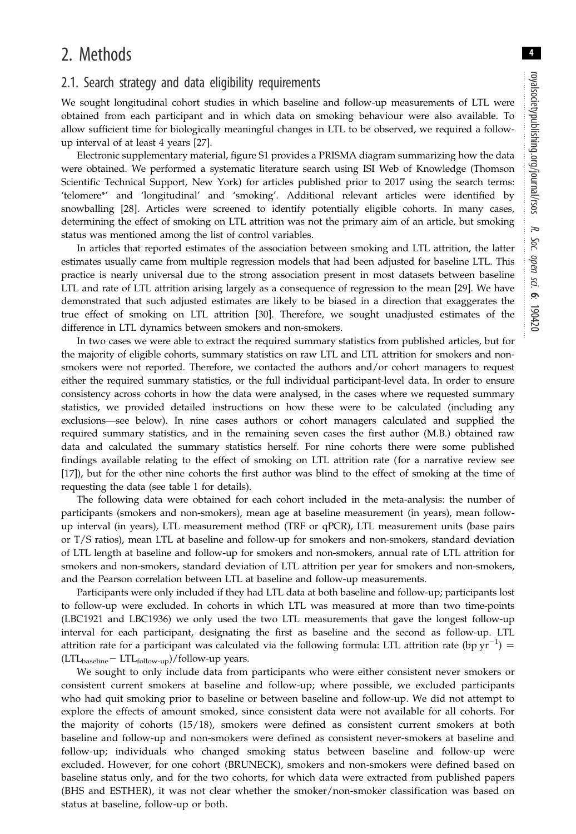## 2. Methods

#### 2.1. Search strategy and data eligibility requirements

We sought longitudinal cohort studies in which baseline and follow-up measurements of LTL were obtained from each participant and in which data on smoking behaviour were also available. To allow sufficient time for biologically meaningful changes in LTL to be observed, we required a followup interval of at least 4 years [\[27](#page-15-0)].

Electronic supplementary material, figure S1 provides a PRISMA diagram summarizing how the data were obtained. We performed a systematic literature search using ISI Web of Knowledge (Thomson Scientific Technical Support, New York) for articles published prior to 2017 using the search terms: 'telomere\*' and 'longitudinal' and 'smoking'. Additional relevant articles were identified by snowballing [\[28](#page-15-0)]. Articles were screened to identify potentially eligible cohorts. In many cases, determining the effect of smoking on LTL attrition was not the primary aim of an article, but smoking status was mentioned among the list of control variables.

In articles that reported estimates of the association between smoking and LTL attrition, the latter estimates usually came from multiple regression models that had been adjusted for baseline LTL. This practice is nearly universal due to the strong association present in most datasets between baseline LTL and rate of LTL attrition arising largely as a consequence of regression to the mean [[29\]](#page-15-0). We have demonstrated that such adjusted estimates are likely to be biased in a direction that exaggerates the true effect of smoking on LTL attrition [\[30](#page-15-0)]. Therefore, we sought unadjusted estimates of the difference in LTL dynamics between smokers and non-smokers.

In two cases we were able to extract the required summary statistics from published articles, but for the majority of eligible cohorts, summary statistics on raw LTL and LTL attrition for smokers and nonsmokers were not reported. Therefore, we contacted the authors and/or cohort managers to request either the required summary statistics, or the full individual participant-level data. In order to ensure consistency across cohorts in how the data were analysed, in the cases where we requested summary statistics, we provided detailed instructions on how these were to be calculated (including any exclusions—see below). In nine cases authors or cohort managers calculated and supplied the required summary statistics, and in the remaining seven cases the first author (M.B.) obtained raw data and calculated the summary statistics herself. For nine cohorts there were some published findings available relating to the effect of smoking on LTL attrition rate (for a narrative review see [\[17](#page-14-0)]), but for the other nine cohorts the first author was blind to the effect of smoking at the time of requesting the data (see [table 1](#page-4-0) for details).

The following data were obtained for each cohort included in the meta-analysis: the number of participants (smokers and non-smokers), mean age at baseline measurement (in years), mean followup interval (in years), LTL measurement method (TRF or qPCR), LTL measurement units (base pairs or T/S ratios), mean LTL at baseline and follow-up for smokers and non-smokers, standard deviation of LTL length at baseline and follow-up for smokers and non-smokers, annual rate of LTL attrition for smokers and non-smokers, standard deviation of LTL attrition per year for smokers and non-smokers, and the Pearson correlation between LTL at baseline and follow-up measurements.

Participants were only included if they had LTL data at both baseline and follow-up; participants lost to follow-up were excluded. In cohorts in which LTL was measured at more than two time-points (LBC1921 and LBC1936) we only used the two LTL measurements that gave the longest follow-up interval for each participant, designating the first as baseline and the second as follow-up. LTL attrition rate for a participant was calculated via the following formula: LTL attrition rate (bp  $\text{yr}^{-1}$ ) =  $(LTL_{baseline} - LTL_{follow-up})/follow-up$  years.

We sought to only include data from participants who were either consistent never smokers or consistent current smokers at baseline and follow-up; where possible, we excluded participants who had quit smoking prior to baseline or between baseline and follow-up. We did not attempt to explore the effects of amount smoked, since consistent data were not available for all cohorts. For the majority of cohorts (15/18), smokers were defined as consistent current smokers at both baseline and follow-up and non-smokers were defined as consistent never-smokers at baseline and follow-up; individuals who changed smoking status between baseline and follow-up were excluded. However, for one cohort (BRUNECK), smokers and non-smokers were defined based on baseline status only, and for the two cohorts, for which data were extracted from published papers (BHS and ESTHER), it was not clear whether the smoker/non-smoker classification was based on status at baseline, follow-up or both.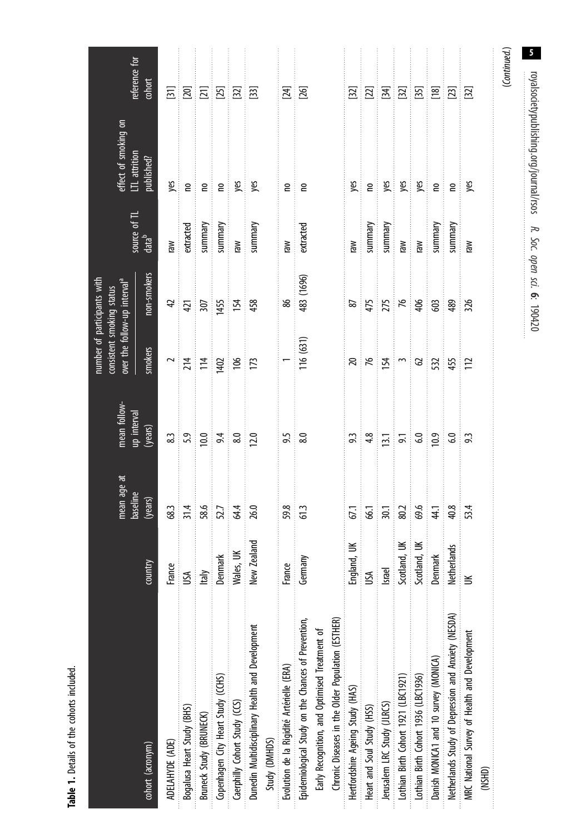Table 1. Details of the cohorts induded. Table 1. Details of the cohorts included.

<span id="page-4-0"></span>

| 5                                                                       | royalsocietypublishing.org/journal/rsos |                   | R. Soc. open sci. 6: 190420                                              |                                                                                                                                                                                                                                                                                                                         |                                               |                                                                                                                                                                                                                                                                                                               |                |                                                     |
|-------------------------------------------------------------------------|-----------------------------------------|-------------------|--------------------------------------------------------------------------|-------------------------------------------------------------------------------------------------------------------------------------------------------------------------------------------------------------------------------------------------------------------------------------------------------------------------|-----------------------------------------------|---------------------------------------------------------------------------------------------------------------------------------------------------------------------------------------------------------------------------------------------------------------------------------------------------------------|----------------|-----------------------------------------------------|
| (Continued.)                                                            |                                         |                   |                                                                          |                                                                                                                                                                                                                                                                                                                         |                                               |                                                                                                                                                                                                                                                                                                               |                |                                                     |
|                                                                         |                                         |                   |                                                                          |                                                                                                                                                                                                                                                                                                                         |                                               |                                                                                                                                                                                                                                                                                                               |                | (NSHD)                                              |
|                                                                         | yes                                     | mel               | 326                                                                      | ंटि                                                                                                                                                                                                                                                                                                                     |                                               | 53.4                                                                                                                                                                                                                                                                                                          |                | MRC National Survey of Health and Development       |
|                                                                         | ં ઽ                                     | yummary           | - 489                                                                    | 455                                                                                                                                                                                                                                                                                                                     | ್ದ ೫                                          | 40.8                                                                                                                                                                                                                                                                                                          | Netherlands    | Netherlands Study of Depression and Anxiety (NESDA) |
|                                                                         | $\mathsf{e}$                            | yummary           | ්ස                                                                       |                                                                                                                                                                                                                                                                                                                         |                                               |                                                                                                                                                                                                                                                                                                               | Denmark        | Danish MONICA1 and 10 survey (MONICA)               |
|                                                                         | <b>usi</b>                              |                   |                                                                          |                                                                                                                                                                                                                                                                                                                         |                                               |                                                                                                                                                                                                                                                                                                               | Scotland, UK   | Lothian Birth Cohort 1936 (LBC1936)                 |
| $\begin{array}{c c} 2 & 3 & 5 \\ 2 & 5 & 5 \\ 3 & 5 & 6 \\ \end{array}$ |                                         | Man<br>Man        | $475$ $88$                                                               | $R_{\frac{1}{2}}$ $\frac{1}{2}$ $\frac{1}{2}$ $\frac{1}{2}$ $\frac{1}{2}$ $\frac{1}{2}$ $\frac{1}{2}$ $\frac{1}{2}$ $\frac{1}{2}$ $\frac{1}{2}$ $\frac{1}{2}$ $\frac{1}{2}$ $\frac{1}{2}$ $\frac{1}{2}$ $\frac{1}{2}$ $\frac{1}{2}$ $\frac{1}{2}$ $\frac{1}{2}$ $\frac{1}{2}$ $\frac{1}{2}$ $\frac{1}{2}$ $\frac{1}{2}$ | $\frac{1}{9}$ , $\frac{1}{9}$ , $\frac{1}{9}$ | $\frac{1}{30}$ = $\frac{1}{30}$ $\frac{1}{30}$ $\frac{1}{30}$ $\frac{1}{30}$ $\frac{1}{30}$ $\frac{1}{30}$ $\frac{1}{30}$ $\frac{1}{30}$ $\frac{1}{30}$ $\frac{1}{30}$ $\frac{1}{30}$ $\frac{1}{30}$ $\frac{1}{30}$ $\frac{1}{30}$ $\frac{1}{30}$ $\frac{1}{30}$ $\frac{1}{30}$ $\frac{1}{30}$ $\frac{1}{30}$ | Scotland, UK   | Lothian Birth Cohort 1921 (LBC1921)                 |
|                                                                         | g                                       | yummary           |                                                                          |                                                                                                                                                                                                                                                                                                                         | $\overline{13.1}$                             |                                                                                                                                                                                                                                                                                                               | Israel         | lerusalem LRC Study (JLRCS)                         |
|                                                                         | gig                                     | summary           |                                                                          |                                                                                                                                                                                                                                                                                                                         |                                               |                                                                                                                                                                                                                                                                                                               | USА            | Heart and Soul Study (HSS)                          |
|                                                                         |                                         | mel               | $87\,$                                                                   | $\gtrsim$                                                                                                                                                                                                                                                                                                               | 9.3                                           | 67,1                                                                                                                                                                                                                                                                                                          | England, UK    | Hertfordshire Ageing Study (HAS)                    |
|                                                                         |                                         |                   |                                                                          |                                                                                                                                                                                                                                                                                                                         |                                               |                                                                                                                                                                                                                                                                                                               |                | Chronic Diseases in the Older Population (ESTHER)   |
|                                                                         |                                         |                   |                                                                          |                                                                                                                                                                                                                                                                                                                         |                                               |                                                                                                                                                                                                                                                                                                               |                | Early Recognition, and Optimised Treatment of       |
|                                                                         | $\mathsf{e}$                            | extracted         | 483 (1696)                                                               | 116 (631)                                                                                                                                                                                                                                                                                                               |                                               |                                                                                                                                                                                                                                                                                                               | Germany        | Epidemiological Study on the Chances of Prevention, |
| $\frac{24}{2}$                                                          | $\epsilon$                              | raw               | 86                                                                       |                                                                                                                                                                                                                                                                                                                         | $\frac{5}{8.0}$                               | 59.3<br>61.3                                                                                                                                                                                                                                                                                                  | France         | Evolution de la Rigidité Artérielle (ERA)           |
|                                                                         |                                         |                   |                                                                          |                                                                                                                                                                                                                                                                                                                         |                                               |                                                                                                                                                                                                                                                                                                               |                | Study (DMHDS)                                       |
|                                                                         | yes                                     | yummary           | 458                                                                      |                                                                                                                                                                                                                                                                                                                         |                                               | $\frac{26.0}{5}$                                                                                                                                                                                                                                                                                              | New Zealand    | Dunedin Multidisciplinary Health and Development    |
| $E$ $E$ $E$ $E$ $E$ $E$ $E$                                             | yes                                     | Mel               |                                                                          | 187                                                                                                                                                                                                                                                                                                                     | $33.36$ $24.36$ $20.29$                       |                                                                                                                                                                                                                                                                                                               | Wales, UK      | Caerphilly Cohort Study (CCS)                       |
|                                                                         | $\epsilon$<br>ŧ                         | yummary           | <u>1455</u><br>154                                                       |                                                                                                                                                                                                                                                                                                                         |                                               | 83<br>53.5<br>52.7<br>54.4                                                                                                                                                                                                                                                                                    | <b>Denmark</b> | Copenhagen City Heart Study (CCHS)                  |
|                                                                         | $\mathsf{e}$                            | yummary           |                                                                          | $\frac{2}{214}$ $\frac{4}{14}$ $\frac{6}{14}$                                                                                                                                                                                                                                                                           |                                               |                                                                                                                                                                                                                                                                                                               | Italy          | Bruneck Study (BRUNECK)                             |
|                                                                         | $\epsilon$                              | extracted         | $\frac{4}{4}$ $\frac{1}{2}$                                              |                                                                                                                                                                                                                                                                                                                         |                                               |                                                                                                                                                                                                                                                                                                               | USИ            | Bogalusa Heart Study (BHS)                          |
|                                                                         | yes                                     | Iaw               |                                                                          |                                                                                                                                                                                                                                                                                                                         |                                               |                                                                                                                                                                                                                                                                                                               | France         | ADELAHYDE (ADE)                                     |
| cohort                                                                  | published?                              | data <sup>b</sup> | non-smokers                                                              | smokers                                                                                                                                                                                                                                                                                                                 | (years)                                       | (years)                                                                                                                                                                                                                                                                                                       | country        | cohort (acronym)                                    |
| reference for                                                           | effect of smoking on<br>LTL attrition   | source of TL      | number of participants with<br>over the follow-up interval <sup>al</sup> | consistent smoking status                                                                                                                                                                                                                                                                                               | mean follow-<br>up interval                   | mean age at<br>baseline                                                                                                                                                                                                                                                                                       |                |                                                     |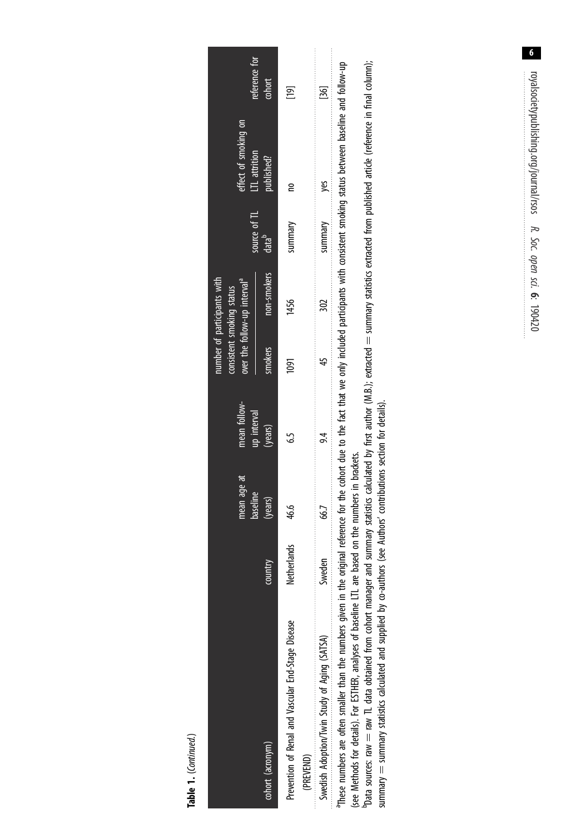Table 1. (Continued.) Table 1. (Continued.)

|                                                                                                                                                                         |             | mean age at<br>baseline | mean follow-<br>up interval | consistent smoking status | over the follow-up interval <sup>a</sup><br>number of participants with |                                     | effect of smoking on<br>LTL attrition                                                                                                    |                         |
|-------------------------------------------------------------------------------------------------------------------------------------------------------------------------|-------------|-------------------------|-----------------------------|---------------------------|-------------------------------------------------------------------------|-------------------------------------|------------------------------------------------------------------------------------------------------------------------------------------|-------------------------|
| cohort (acronym)                                                                                                                                                        | country     | (years)                 | (years)                     | smokers                   | non-smokers                                                             | I source of TL<br>data <sup>b</sup> | published?                                                                                                                               | reference for<br>cohort |
| Prevention of Renal and Vascular End-Stage Disease<br>(PREVEND)                                                                                                         | Netherlands | 46.6                    | Ġ                           | 1091                      | 1456                                                                    | summary                             | g                                                                                                                                        | $\overline{19}$         |
| Swedish Adoption/Twin Study of Aging (SATSA)                                                                                                                            | Sweden      | 66.7                    |                             |                           |                                                                         | summary                             | yes                                                                                                                                      | $\overline{36}$         |
| ,我们也不能让我们的人,我们也不能让我们的人,我们也不能让我们的人。""我们的人,我们的人,我们也不能让我们的人,我们也不能让我们的人。""我们的人,我们也不能<br><sup>a</sup> These numbers are often smaller than the numbers given in the original |             |                         |                             |                           |                                                                         |                                     | reference for the cohort due to the fact that we only induded participants with consistent smoking status between baseline and follow-up |                         |

(see Methods for details). For ESTHER, analyses of baseline LTL are based on the numbers in brackets. (see Methods for details). For ESTHER, analyses of baseline LTL are based on the numbers in brackets.

"Data sources: raw TL data obtained from cohort manager and summary statistics calculated by first author (M.B.); extracted = summary statistics extracted from published article (reference in final column); Data sources: raw  $\pm$  raw TL data obtained from cohort manager and summary statistics author (M.B.); extracted  $=$  summary statistics extracted from published article (reference in final column); summary = summary statistics calculated and supplied by co-authors (see Authors' contributions section for details). summary = summary statistics calculated and supplied by co-authors (see Authors' contributions section for details).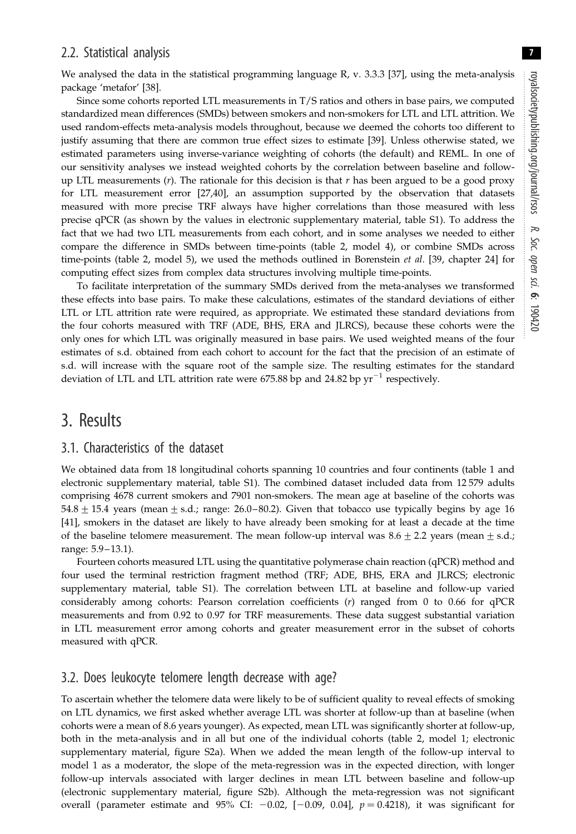### 2.2. Statistical analysis

We analysed the data in the statistical programming language R, v. 3.3.3 [[37\]](#page-15-0), using the meta-analysis package 'metafor' [[38](#page-15-0)].

Since some cohorts reported LTL measurements in T/S ratios and others in base pairs, we computed standardized mean differences (SMDs) between smokers and non-smokers for LTL and LTL attrition. We used random-effects meta-analysis models throughout, because we deemed the cohorts too different to justify assuming that there are common true effect sizes to estimate [\[39](#page-15-0)]. Unless otherwise stated, we estimated parameters using inverse-variance weighting of cohorts (the default) and REML. In one of our sensitivity analyses we instead weighted cohorts by the correlation between baseline and followup LTL measurements  $(r)$ . The rationale for this decision is that  $r$  has been argued to be a good proxy for LTL measurement error [[27,40](#page-15-0)], an assumption supported by the observation that datasets measured with more precise TRF always have higher correlations than those measured with less precise qPCR (as shown by the values in electronic supplementary material, table S1). To address the fact that we had two LTL measurements from each cohort, and in some analyses we needed to either compare the difference in SMDs between time-points ([table 2,](#page-7-0) model 4), or combine SMDs across time-points ([table 2](#page-7-0), model 5), we used the methods outlined in Borenstein et al. [[39,](#page-15-0) chapter 24] for computing effect sizes from complex data structures involving multiple time-points.

To facilitate interpretation of the summary SMDs derived from the meta-analyses we transformed these effects into base pairs. To make these calculations, estimates of the standard deviations of either LTL or LTL attrition rate were required, as appropriate. We estimated these standard deviations from the four cohorts measured with TRF (ADE, BHS, ERA and JLRCS), because these cohorts were the only ones for which LTL was originally measured in base pairs. We used weighted means of the four estimates of s.d. obtained from each cohort to account for the fact that the precision of an estimate of s.d. will increase with the square root of the sample size. The resulting estimates for the standard deviation of LTL and LTL attrition rate were 675.88 bp and 24.82 bp  $yr^{-1}$  respectively.

## 3. Results

#### 3.1. Characteristics of the dataset

We obtained data from 18 longitudinal cohorts spanning 10 countries and four continents ([table 1](#page-4-0) and electronic supplementary material, table S1). The combined dataset included data from 12 579 adults comprising 4678 current smokers and 7901 non-smokers. The mean age at baseline of the cohorts was  $54.8 \pm 15.4$  years (mean  $\pm$  s.d.; range: 26.0–80.2). Given that tobacco use typically begins by age 16 [\[41](#page-15-0)], smokers in the dataset are likely to have already been smoking for at least a decade at the time of the baseline telomere measurement. The mean follow-up interval was  $8.6 \pm 2.2$  years (mean  $\pm$  s.d.; range: 5.9– 13.1).

Fourteen cohorts measured LTL using the quantitative polymerase chain reaction (qPCR) method and four used the terminal restriction fragment method (TRF; ADE, BHS, ERA and JLRCS; electronic supplementary material, table S1). The correlation between LTL at baseline and follow-up varied considerably among cohorts: Pearson correlation coefficients  $(r)$  ranged from 0 to 0.66 for qPCR measurements and from 0.92 to 0.97 for TRF measurements. These data suggest substantial variation in LTL measurement error among cohorts and greater measurement error in the subset of cohorts measured with qPCR.

## 3.2. Does leukocyte telomere length decrease with age?

To ascertain whether the telomere data were likely to be of sufficient quality to reveal effects of smoking on LTL dynamics, we first asked whether average LTL was shorter at follow-up than at baseline (when cohorts were a mean of 8.6 years younger). As expected, mean LTL was significantly shorter at follow-up, both in the meta-analysis and in all but one of the individual cohorts ([table 2](#page-7-0), model 1; electronic supplementary material, figure S2a). When we added the mean length of the follow-up interval to model 1 as a moderator, the slope of the meta-regression was in the expected direction, with longer follow-up intervals associated with larger declines in mean LTL between baseline and follow-up (electronic supplementary material, figure S2b). Although the meta-regression was not significant overall (parameter estimate and 95% CI:  $-0.02$ ,  $[-0.09, 0.04]$ ,  $p = 0.4218$ ), it was significant for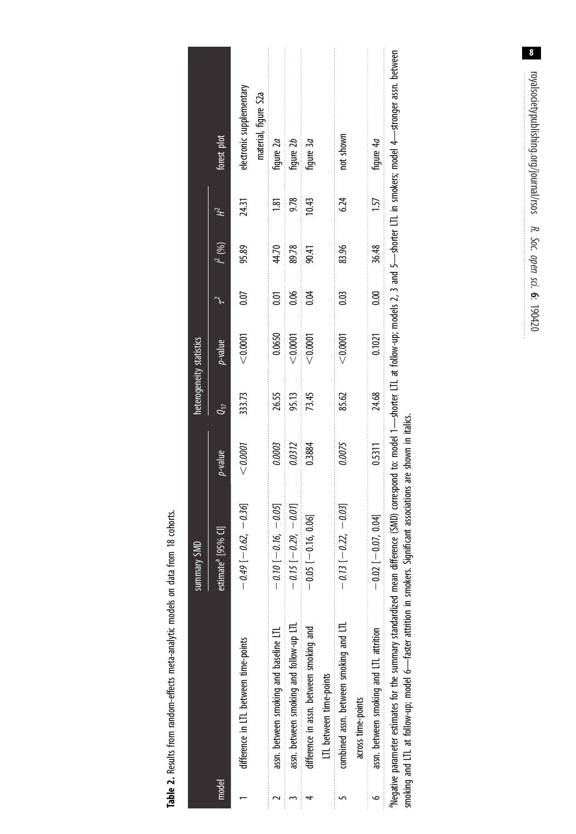Table 2. Results from random-effects meta-analytic models on data from 18 cohorts. Table 2. Results from random-effects meta-analytic models on data from 18 cohorts.

<span id="page-7-0"></span>

|       |                                                                                                                                                                                                                                                                                                                                 | <b>Summary SMD</b>            |                 | heterogeneity statistics |                 |                |           |          |                                                  |
|-------|---------------------------------------------------------------------------------------------------------------------------------------------------------------------------------------------------------------------------------------------------------------------------------------------------------------------------------|-------------------------------|-----------------|--------------------------|-----------------|----------------|-----------|----------|--------------------------------------------------|
| model |                                                                                                                                                                                                                                                                                                                                 | estimate <sup>a</sup> [95%    | <i>p</i> -value | Ųη                       | <i>p</i> -value | $\mathcal{A}$  | $l^2 (%)$ | 렎        | forest plot                                      |
|       | difference in LTL between time-points                                                                                                                                                                                                                                                                                           | $-0.49[-0.62, -0.36]$         | < 0.0001        | 333.73                   | < 0.0001        | 0.07           | 95.89     | 24.31    | electronic supplementary<br>material, figure S2a |
|       | assn. between smoking and baseline LTL                                                                                                                                                                                                                                                                                          | $-0.10[-0.16, -0.05]$         | 0.0003          | 26.55                    | 0.0650          | ຣູ             | 44.70     | <u>ञ</u> | figure 2a                                        |
|       | assn. between smoking and follow-up LTL                                                                                                                                                                                                                                                                                         | $-0.15$ [ $-0.29$ , $-0.01$ ] | 0.0312          | 95.13                    | < 0.0001        | 0.06           | 89.78     | 9.78     | fiqure 2b                                        |
|       | difference in assn. between smoking and                                                                                                                                                                                                                                                                                         | 0.06<br>$-0.05$ [ $-0.16$ ,   | 0.3884          | 73.45                    | < 0.0001        | 0.04           | 90.41     | 10.43    | hgure 3a                                         |
|       | LTL between time-points                                                                                                                                                                                                                                                                                                         |                               |                 |                          |                 |                |           |          |                                                  |
|       | combined assn. between smoking and LTL                                                                                                                                                                                                                                                                                          | $-0.13$ [ $-0.22$ , $-0.03$ ] | 0.0075          | 85.62                    | < 0.0001        | 8              | 83.96     | 6.24     | not shown                                        |
|       | across time-points                                                                                                                                                                                                                                                                                                              |                               |                 |                          |                 |                |           |          |                                                  |
|       | assn. between smoking and LTL attrition                                                                                                                                                                                                                                                                                         | $-0.02$ $[-0.07, 0.04]$       | 0.5311          | 24.68                    | 0.1021          | $\frac{8}{10}$ | 36.48     | 1.57     | fiqure 4a                                        |
|       | "Negative parameter estimates for the summary standardized mean difference (SMD) correspond to: model 1-shorter LTL at follow-up; models 2, 3 and 5-shorter LTL in smokers; model 4-stronger assn. between<br>smoking and LTL at follow-up; model 6—faster attrition in smokers. Significant associations are shown in italics. |                               |                 |                          |                 |                |           |          |                                                  |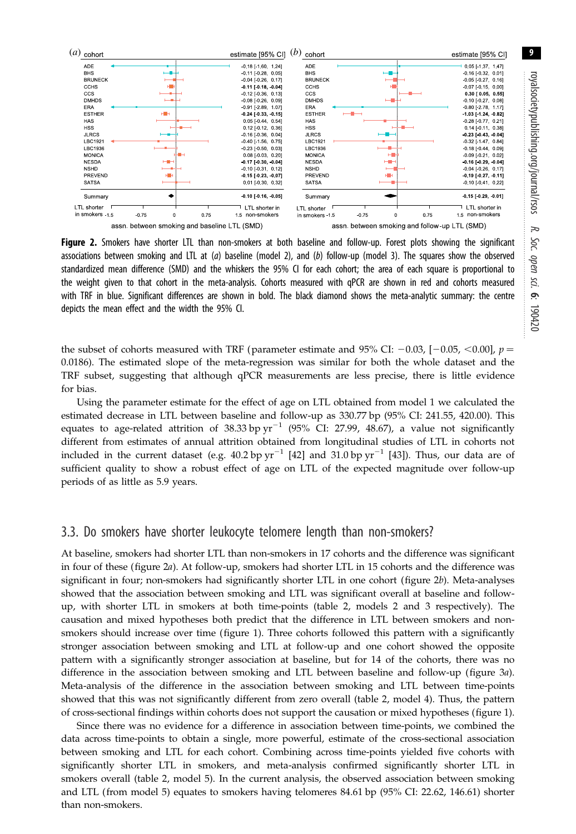<span id="page-8-0"></span>

Figure 2. Smokers have shorter LTL than non-smokers at both baseline and follow-up. Forest plots showing the significant associations between smoking and LTL at  $(a)$  baseline (model 2), and  $(b)$  follow-up (model 3). The squares show the observed standardized mean difference (SMD) and the whiskers the 95% CI for each cohort; the area of each square is proportional to the weight given to that cohort in the meta-analysis. Cohorts measured with qPCR are shown in red and cohorts measured with TRF in blue. Significant differences are shown in bold. The black diamond shows the meta-analytic summary: the centre depicts the mean effect and the width the 95% CI.

the subset of cohorts measured with TRF (parameter estimate and 95% CI:  $-0.03$ ,  $[-0.05, <0.00]$ ,  $p =$ 0.0186). The estimated slope of the meta-regression was similar for both the whole dataset and the TRF subset, suggesting that although qPCR measurements are less precise, there is little evidence for bias.

Using the parameter estimate for the effect of age on LTL obtained from model 1 we calculated the estimated decrease in LTL between baseline and follow-up as 330.77 bp (95% CI: 241.55, 420.00). This equates to age-related attrition of 38.33 bp  $yr^{-1}$  (95% CI: 27.99, 48.67), a value not significantly different from estimates of annual attrition obtained from longitudinal studies of LTL in cohorts not included in the current dataset (e.g. 40.2 bp  $yr^{-1}$  [\[42](#page-15-0)] and 31.0 bp  $yr^{-1}$  [\[43](#page-15-0)]). Thus, our data are of sufficient quality to show a robust effect of age on LTL of the expected magnitude over follow-up periods of as little as 5.9 years.

#### 3.3. Do smokers have shorter leukocyte telomere length than non-smokers?

At baseline, smokers had shorter LTL than non-smokers in 17 cohorts and the difference was significant in four of these (figure 2a). At follow-up, smokers had shorter LTL in 15 cohorts and the difference was significant in four; non-smokers had significantly shorter LTL in one cohort (figure 2b). Meta-analyses showed that the association between smoking and LTL was significant overall at baseline and followup, with shorter LTL in smokers at both time-points [\(table 2,](#page-7-0) models 2 and 3 respectively). The causation and mixed hypotheses both predict that the difference in LTL between smokers and nonsmokers should increase over time [\(figure 1\)](#page-2-0). Three cohorts followed this pattern with a significantly stronger association between smoking and LTL at follow-up and one cohort showed the opposite pattern with a significantly stronger association at baseline, but for 14 of the cohorts, there was no difference in the association between smoking and LTL between baseline and follow-up ([figure 3](#page-9-0)a). Meta-analysis of the difference in the association between smoking and LTL between time-points showed that this was not significantly different from zero overall ([table 2,](#page-7-0) model 4). Thus, the pattern of cross-sectional findings within cohorts does not support the causation or mixed hypotheses ([figure 1](#page-2-0)).

Since there was no evidence for a difference in association between time-points, we combined the data across time-points to obtain a single, more powerful, estimate of the cross-sectional association between smoking and LTL for each cohort. Combining across time-points yielded five cohorts with significantly shorter LTL in smokers, and meta-analysis confirmed significantly shorter LTL in smokers overall [\(table 2,](#page-7-0) model 5). In the current analysis, the observed association between smoking and LTL (from model 5) equates to smokers having telomeres 84.61 bp (95% CI: 22.62, 146.61) shorter than non-smokers.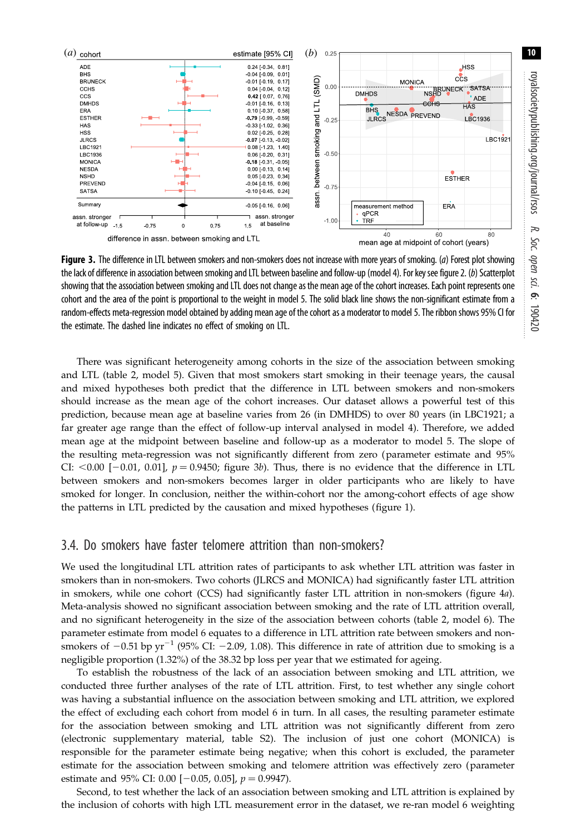<span id="page-9-0"></span>

Figure 3. The difference in LTL between smokers and non-smokers does not increase with more years of smoking. (a) Forest plot showing the lack of difference in association between smoking and LTL between baseline and follow-up (model 4). For key see [figure 2](#page-8-0). (b) Scatterplot showing that the association between smoking and LTL does not change as the mean age of the cohort increases. Each point represents one cohort and the area of the point is proportional to the weight in model 5. The solid black line shows the non-significant estimate from a random-effects meta-regression model obtained by adding mean age of the cohort as a moderator to model 5. The ribbon shows 95% CI for the estimate. The dashed line indicates no effect of smoking on LTL.

There was significant heterogeneity among cohorts in the size of the association between smoking and LTL [\(table 2](#page-7-0), model 5). Given that most smokers start smoking in their teenage years, the causal and mixed hypotheses both predict that the difference in LTL between smokers and non-smokers should increase as the mean age of the cohort increases. Our dataset allows a powerful test of this prediction, because mean age at baseline varies from 26 (in DMHDS) to over 80 years (in LBC1921; a far greater age range than the effect of follow-up interval analysed in model 4). Therefore, we added mean age at the midpoint between baseline and follow-up as a moderator to model 5. The slope of the resulting meta-regression was not significantly different from zero (parameter estimate and 95% CI:  $<$  0.00 [-0.01, 0.01],  $p = 0.9450$ ; figure 3b). Thus, there is no evidence that the difference in LTL between smokers and non-smokers becomes larger in older participants who are likely to have smoked for longer. In conclusion, neither the within-cohort nor the among-cohort effects of age show the patterns in LTL predicted by the causation and mixed hypotheses ([figure 1](#page-2-0)).

#### 3.4. Do smokers have faster telomere attrition than non-smokers?

We used the longitudinal LTL attrition rates of participants to ask whether LTL attrition was faster in smokers than in non-smokers. Two cohorts (JLRCS and MONICA) had significantly faster LTL attrition in smokers, while one cohort (CCS) had significantly faster LTL attrition in non-smokers [\(figure 4](#page-10-0)a). Meta-analysis showed no significant association between smoking and the rate of LTL attrition overall, and no significant heterogeneity in the size of the association between cohorts ([table 2,](#page-7-0) model 6). The parameter estimate from model 6 equates to a difference in LTL attrition rate between smokers and nonsmokers of  $-0.51$  bp yr<sup>-1</sup> (95% CI:  $-2.09$ , 1.08). This difference in rate of attrition due to smoking is a negligible proportion (1.32%) of the 38.32 bp loss per year that we estimated for ageing.

To establish the robustness of the lack of an association between smoking and LTL attrition, we conducted three further analyses of the rate of LTL attrition. First, to test whether any single cohort was having a substantial influence on the association between smoking and LTL attrition, we explored the effect of excluding each cohort from model 6 in turn. In all cases, the resulting parameter estimate for the association between smoking and LTL attrition was not significantly different from zero (electronic supplementary material, table S2). The inclusion of just one cohort (MONICA) is responsible for the parameter estimate being negative; when this cohort is excluded, the parameter estimate for the association between smoking and telomere attrition was effectively zero (parameter estimate and 95% CI: 0.00  $[-0.05, 0.05]$ ,  $p = 0.9947$ ).

Second, to test whether the lack of an association between smoking and LTL attrition is explained by the inclusion of cohorts with high LTL measurement error in the dataset, we re-ran model 6 weighting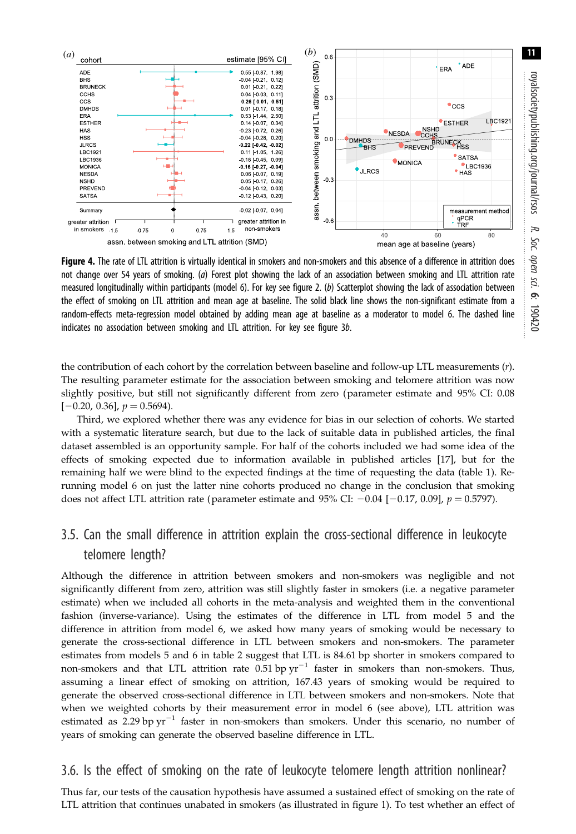<span id="page-10-0"></span>

Figure 4. The rate of LTL attrition is virtually identical in smokers and non-smokers and this absence of a difference in attrition does not change over 54 years of smoking. (a) Forest plot showing the lack of an association between smoking and LTL attrition rate measured longitudinally within participants (model 6). For key see [figure 2](#page-8-0). (b) Scatterplot showing the lack of association between the effect of smoking on LTL attrition and mean age at baseline. The solid black line shows the non-significant estimate from a random-effects meta-regression model obtained by adding mean age at baseline as a moderator to model 6. The dashed line indicates no association between smoking and LTL attrition. For key see [figure 3](#page-9-0)b.

the contribution of each cohort by the correlation between baseline and follow-up LTL measurements (r). The resulting parameter estimate for the association between smoking and telomere attrition was now slightly positive, but still not significantly different from zero (parameter estimate and 95% CI: 0.08  $[-0.20, 0.36]$ ,  $p = 0.5694$ ).

Third, we explored whether there was any evidence for bias in our selection of cohorts. We started with a systematic literature search, but due to the lack of suitable data in published articles, the final dataset assembled is an opportunity sample. For half of the cohorts included we had some idea of the effects of smoking expected due to information available in published articles [\[17](#page-14-0)], but for the remaining half we were blind to the expected findings at the time of requesting the data [\(table 1](#page-4-0)). Rerunning model 6 on just the latter nine cohorts produced no change in the conclusion that smoking does not affect LTL attrition rate (parameter estimate and 95% CI:  $-0.04$  [ $-0.17$ , 0.09],  $p = 0.5797$ ).

## 3.5. Can the small difference in attrition explain the cross-sectional difference in leukocyte telomere length?

Although the difference in attrition between smokers and non-smokers was negligible and not significantly different from zero, attrition was still slightly faster in smokers (i.e. a negative parameter estimate) when we included all cohorts in the meta-analysis and weighted them in the conventional fashion (inverse-variance). Using the estimates of the difference in LTL from model 5 and the difference in attrition from model 6, we asked how many years of smoking would be necessary to generate the cross-sectional difference in LTL between smokers and non-smokers. The parameter estimates from models 5 and 6 in [table 2](#page-7-0) suggest that LTL is 84.61 bp shorter in smokers compared to non-smokers and that LTL attrition rate  $0.51$  bp  $yr^{-1}$  faster in smokers than non-smokers. Thus, assuming a linear effect of smoking on attrition, 167.43 years of smoking would be required to generate the observed cross-sectional difference in LTL between smokers and non-smokers. Note that when we weighted cohorts by their measurement error in model 6 (see above), LTL attrition was estimated as 2.29 bp  $yr^{-1}$  faster in non-smokers than smokers. Under this scenario, no number of years of smoking can generate the observed baseline difference in LTL.

## 3.6. Is the effect of smoking on the rate of leukocyte telomere length attrition nonlinear?

Thus far, our tests of the causation hypothesis have assumed a sustained effect of smoking on the rate of LTL attrition that continues unabated in smokers (as illustrated in [figure 1\)](#page-2-0). To test whether an effect of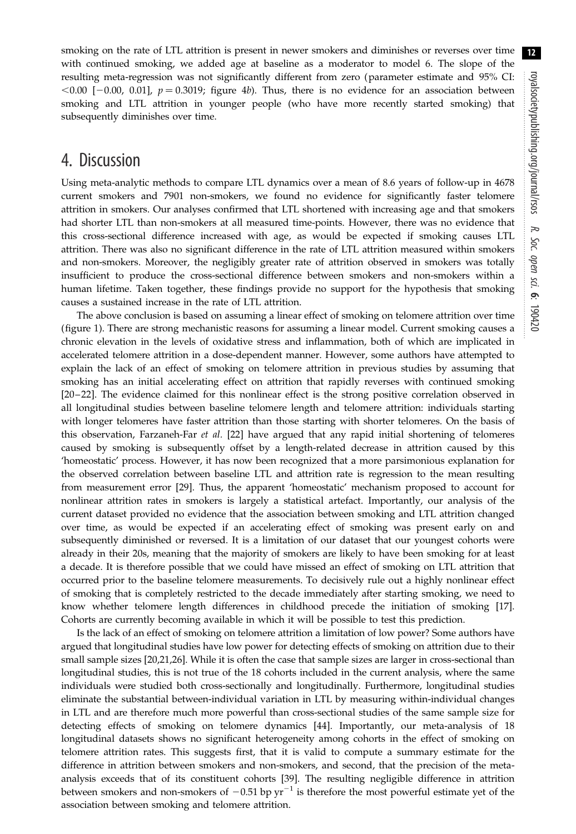smoking on the rate of LTL attrition is present in newer smokers and diminishes or reverses over time with continued smoking, we added age at baseline as a moderator to model 6. The slope of the resulting meta-regression was not significantly different from zero (parameter estimate and 95% CI:  $< 0.00$  [-0.00, 0.01],  $p = 0.3019$ ; [figure 4](#page-10-0)b). Thus, there is no evidence for an association between smoking and LTL attrition in younger people (who have more recently started smoking) that subsequently diminishes over time.

## 4. Discussion

Using meta-analytic methods to compare LTL dynamics over a mean of 8.6 years of follow-up in 4678 current smokers and 7901 non-smokers, we found no evidence for significantly faster telomere attrition in smokers. Our analyses confirmed that LTL shortened with increasing age and that smokers had shorter LTL than non-smokers at all measured time-points. However, there was no evidence that this cross-sectional difference increased with age, as would be expected if smoking causes LTL attrition. There was also no significant difference in the rate of LTL attrition measured within smokers and non-smokers. Moreover, the negligibly greater rate of attrition observed in smokers was totally insufficient to produce the cross-sectional difference between smokers and non-smokers within a human lifetime. Taken together, these findings provide no support for the hypothesis that smoking causes a sustained increase in the rate of LTL attrition.

The above conclusion is based on assuming a linear effect of smoking on telomere attrition over time [\(figure 1\)](#page-2-0). There are strong mechanistic reasons for assuming a linear model. Current smoking causes a chronic elevation in the levels of oxidative stress and inflammation, both of which are implicated in accelerated telomere attrition in a dose-dependent manner. However, some authors have attempted to explain the lack of an effect of smoking on telomere attrition in previous studies by assuming that smoking has an initial accelerating effect on attrition that rapidly reverses with continued smoking [\[20](#page-14-0)– [22\]](#page-14-0). The evidence claimed for this nonlinear effect is the strong positive correlation observed in all longitudinal studies between baseline telomere length and telomere attrition: individuals starting with longer telomeres have faster attrition than those starting with shorter telomeres. On the basis of this observation, Farzaneh-Far et al. [[22\]](#page-14-0) have argued that any rapid initial shortening of telomeres caused by smoking is subsequently offset by a length-related decrease in attrition caused by this 'homeostatic' process. However, it has now been recognized that a more parsimonious explanation for the observed correlation between baseline LTL and attrition rate is regression to the mean resulting from measurement error [\[29](#page-15-0)]. Thus, the apparent 'homeostatic' mechanism proposed to account for nonlinear attrition rates in smokers is largely a statistical artefact. Importantly, our analysis of the current dataset provided no evidence that the association between smoking and LTL attrition changed over time, as would be expected if an accelerating effect of smoking was present early on and subsequently diminished or reversed. It is a limitation of our dataset that our youngest cohorts were already in their 20s, meaning that the majority of smokers are likely to have been smoking for at least a decade. It is therefore possible that we could have missed an effect of smoking on LTL attrition that occurred prior to the baseline telomere measurements. To decisively rule out a highly nonlinear effect of smoking that is completely restricted to the decade immediately after starting smoking, we need to know whether telomere length differences in childhood precede the initiation of smoking [\[17](#page-14-0)]. Cohorts are currently becoming available in which it will be possible to test this prediction.

Is the lack of an effect of smoking on telomere attrition a limitation of low power? Some authors have argued that longitudinal studies have low power for detecting effects of smoking on attrition due to their small sample sizes [[20,21,](#page-14-0)[26](#page-15-0)]. While it is often the case that sample sizes are larger in cross-sectional than longitudinal studies, this is not true of the 18 cohorts included in the current analysis, where the same individuals were studied both cross-sectionally and longitudinally. Furthermore, longitudinal studies eliminate the substantial between-individual variation in LTL by measuring within-individual changes in LTL and are therefore much more powerful than cross-sectional studies of the same sample size for detecting effects of smoking on telomere dynamics [\[44](#page-15-0)]. Importantly, our meta-analysis of 18 longitudinal datasets shows no significant heterogeneity among cohorts in the effect of smoking on telomere attrition rates. This suggests first, that it is valid to compute a summary estimate for the difference in attrition between smokers and non-smokers, and second, that the precision of the metaanalysis exceeds that of its constituent cohorts [[39\]](#page-15-0). The resulting negligible difference in attrition between smokers and non-smokers of  $-0.51$  bp  $yr^{-1}$  is therefore the most powerful estimate yet of the association between smoking and telomere attrition.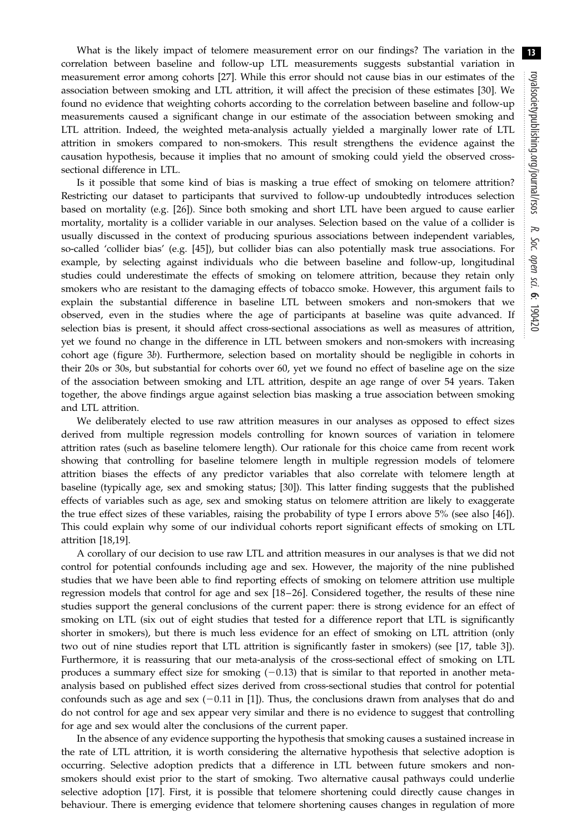What is the likely impact of telomere measurement error on our findings? The variation in the correlation between baseline and follow-up LTL measurements suggests substantial variation in measurement error among cohorts [\[27](#page-15-0)]. While this error should not cause bias in our estimates of the association between smoking and LTL attrition, it will affect the precision of these estimates [\[30](#page-15-0)]. We found no evidence that weighting cohorts according to the correlation between baseline and follow-up measurements caused a significant change in our estimate of the association between smoking and LTL attrition. Indeed, the weighted meta-analysis actually yielded a marginally lower rate of LTL attrition in smokers compared to non-smokers. This result strengthens the evidence against the causation hypothesis, because it implies that no amount of smoking could yield the observed crosssectional difference in LTL.

Is it possible that some kind of bias is masking a true effect of smoking on telomere attrition? Restricting our dataset to participants that survived to follow-up undoubtedly introduces selection based on mortality (e.g. [[26\]](#page-15-0)). Since both smoking and short LTL have been argued to cause earlier mortality, mortality is a collider variable in our analyses. Selection based on the value of a collider is usually discussed in the context of producing spurious associations between independent variables, so-called 'collider bias' (e.g. [\[45](#page-15-0)]), but collider bias can also potentially mask true associations. For example, by selecting against individuals who die between baseline and follow-up, longitudinal studies could underestimate the effects of smoking on telomere attrition, because they retain only smokers who are resistant to the damaging effects of tobacco smoke. However, this argument fails to explain the substantial difference in baseline LTL between smokers and non-smokers that we observed, even in the studies where the age of participants at baseline was quite advanced. If selection bias is present, it should affect cross-sectional associations as well as measures of attrition, yet we found no change in the difference in LTL between smokers and non-smokers with increasing cohort age [\(figure 3](#page-9-0)b). Furthermore, selection based on mortality should be negligible in cohorts in their 20s or 30s, but substantial for cohorts over 60, yet we found no effect of baseline age on the size of the association between smoking and LTL attrition, despite an age range of over 54 years. Taken together, the above findings argue against selection bias masking a true association between smoking and LTL attrition.

We deliberately elected to use raw attrition measures in our analyses as opposed to effect sizes derived from multiple regression models controlling for known sources of variation in telomere attrition rates (such as baseline telomere length). Our rationale for this choice came from recent work showing that controlling for baseline telomere length in multiple regression models of telomere attrition biases the effects of any predictor variables that also correlate with telomere length at baseline (typically age, sex and smoking status; [[30\]](#page-15-0)). This latter finding suggests that the published effects of variables such as age, sex and smoking status on telomere attrition are likely to exaggerate the true effect sizes of these variables, raising the probability of type I errors above 5% (see also [\[46](#page-15-0)]). This could explain why some of our individual cohorts report significant effects of smoking on LTL attrition [[18,19](#page-14-0)].

A corollary of our decision to use raw LTL and attrition measures in our analyses is that we did not control for potential confounds including age and sex. However, the majority of the nine published studies that we have been able to find reporting effects of smoking on telomere attrition use multiple regression models that control for age and sex [[18](#page-14-0)–[26\]](#page-15-0). Considered together, the results of these nine studies support the general conclusions of the current paper: there is strong evidence for an effect of smoking on LTL (six out of eight studies that tested for a difference report that LTL is significantly shorter in smokers), but there is much less evidence for an effect of smoking on LTL attrition (only two out of nine studies report that LTL attrition is significantly faster in smokers) (see [\[17](#page-14-0), table 3]). Furthermore, it is reassuring that our meta-analysis of the cross-sectional effect of smoking on LTL produces a summary effect size for smoking  $(-0.13)$  that is similar to that reported in another metaanalysis based on published effect sizes derived from cross-sectional studies that control for potential confounds such as age and sex  $(-0.11$  $(-0.11$  $(-0.11$  in [1]). Thus, the conclusions drawn from analyses that do and do not control for age and sex appear very similar and there is no evidence to suggest that controlling for age and sex would alter the conclusions of the current paper.

In the absence of any evidence supporting the hypothesis that smoking causes a sustained increase in the rate of LTL attrition, it is worth considering the alternative hypothesis that selective adoption is occurring. Selective adoption predicts that a difference in LTL between future smokers and nonsmokers should exist prior to the start of smoking. Two alternative causal pathways could underlie selective adoption [\[17](#page-14-0)]. First, it is possible that telomere shortening could directly cause changes in behaviour. There is emerging evidence that telomere shortening causes changes in regulation of more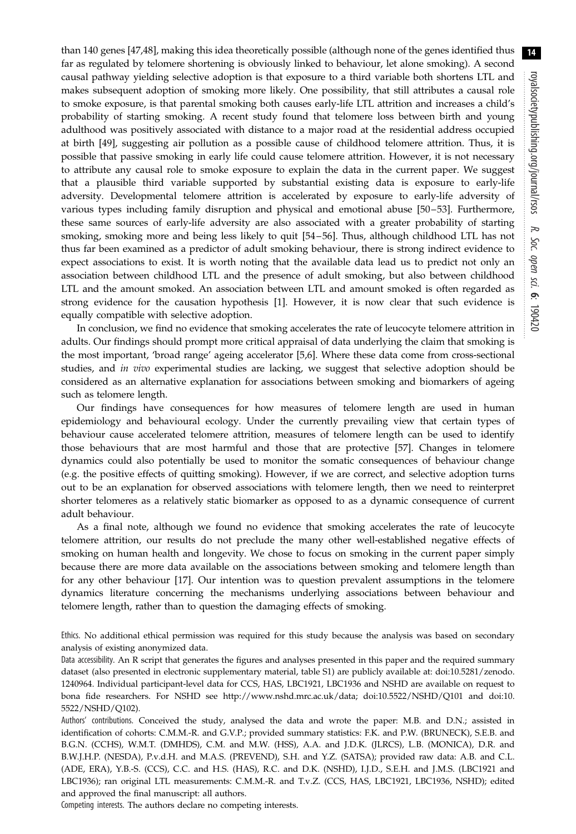than 140 genes [\[47](#page-15-0),[48\]](#page-15-0), making this idea theoretically possible (although none of the genes identified thus far as regulated by telomere shortening is obviously linked to behaviour, let alone smoking). A second causal pathway yielding selective adoption is that exposure to a third variable both shortens LTL and makes subsequent adoption of smoking more likely. One possibility, that still attributes a causal role to smoke exposure, is that parental smoking both causes early-life LTL attrition and increases a child's probability of starting smoking. A recent study found that telomere loss between birth and young adulthood was positively associated with distance to a major road at the residential address occupied at birth [[49\]](#page-15-0), suggesting air pollution as a possible cause of childhood telomere attrition. Thus, it is possible that passive smoking in early life could cause telomere attrition. However, it is not necessary to attribute any causal role to smoke exposure to explain the data in the current paper. We suggest that a plausible third variable supported by substantial existing data is exposure to early-life adversity. Developmental telomere attrition is accelerated by exposure to early-life adversity of various types including family disruption and physical and emotional abuse [[50](#page-15-0)–[53](#page-15-0)]. Furthermore, these same sources of early-life adversity are also associated with a greater probability of starting smoking, smoking more and being less likely to quit [[54](#page-15-0) –[56](#page-15-0)]. Thus, although childhood LTL has not thus far been examined as a predictor of adult smoking behaviour, there is strong indirect evidence to expect associations to exist. It is worth noting that the available data lead us to predict not only an association between childhood LTL and the presence of adult smoking, but also between childhood LTL and the amount smoked. An association between LTL and amount smoked is often regarded as strong evidence for the causation hypothesis [\[1\]](#page-14-0). However, it is now clear that such evidence is equally compatible with selective adoption.

In conclusion, we find no evidence that smoking accelerates the rate of leucocyte telomere attrition in adults. Our findings should prompt more critical appraisal of data underlying the claim that smoking is the most important, 'broad range' ageing accelerator [[5,6\]](#page-14-0). Where these data come from cross-sectional studies, and in vivo experimental studies are lacking, we suggest that selective adoption should be considered as an alternative explanation for associations between smoking and biomarkers of ageing such as telomere length.

Our findings have consequences for how measures of telomere length are used in human epidemiology and behavioural ecology. Under the currently prevailing view that certain types of behaviour cause accelerated telomere attrition, measures of telomere length can be used to identify those behaviours that are most harmful and those that are protective [[57\]](#page-15-0). Changes in telomere dynamics could also potentially be used to monitor the somatic consequences of behaviour change (e.g. the positive effects of quitting smoking). However, if we are correct, and selective adoption turns out to be an explanation for observed associations with telomere length, then we need to reinterpret shorter telomeres as a relatively static biomarker as opposed to as a dynamic consequence of current adult behaviour.

As a final note, although we found no evidence that smoking accelerates the rate of leucocyte telomere attrition, our results do not preclude the many other well-established negative effects of smoking on human health and longevity. We chose to focus on smoking in the current paper simply because there are more data available on the associations between smoking and telomere length than for any other behaviour [\[17](#page-14-0)]. Our intention was to question prevalent assumptions in the telomere dynamics literature concerning the mechanisms underlying associations between behaviour and telomere length, rather than to question the damaging effects of smoking.

Ethics. No additional ethical permission was required for this study because the analysis was based on secondary analysis of existing anonymized data.

Data accessibility. An R script that generates the figures and analyses presented in this paper and the required summary dataset (also presented in electronic supplementary material, table S1) are publicly available at: [doi:10.5281/zenodo.](http://dx.doi.org/doi:10.5281/zenodo.1240964) [1240964](http://dx.doi.org/doi:10.5281/zenodo.1240964). Individual participant-level data for CCS, HAS, LBC1921, LBC1936 and NSHD are available on request to bona fide researchers. For NSHD see<http://www.nshd.mrc.ac.uk/data>; [doi:10.5522/NSHD/Q101](http://dx.doi.org/doi:10.5522/NSHD/Q101) and [doi:10.](http://dx.doi.org/doi:10.5522/NSHD/Q102) [5522/NSHD/Q102\)](http://dx.doi.org/doi:10.5522/NSHD/Q102).

Authors' contributions. Conceived the study, analysed the data and wrote the paper: M.B. and D.N.; assisted in identification of cohorts: C.M.M.-R. and G.V.P.; provided summary statistics: F.K. and P.W. (BRUNECK), S.E.B. and B.G.N. (CCHS), W.M.T. (DMHDS), C.M. and M.W. (HSS), A.A. and J.D.K. (JLRCS), L.B. (MONICA), D.R. and B.W.J.H.P. (NESDA), P.v.d.H. and M.A.S. (PREVEND), S.H. and Y.Z. (SATSA); provided raw data: A.B. and C.L. (ADE, ERA), Y.B.-S. (CCS), C.C. and H.S. (HAS), R.C. and D.K. (NSHD), I.J.D., S.E.H. and J.M.S. (LBC1921 and LBC1936); ran original LTL measurements: C.M.M.-R. and T.v.Z. (CCS, HAS, LBC1921, LBC1936, NSHD); edited and approved the final manuscript: all authors.

Competing interests. The authors declare no competing interests.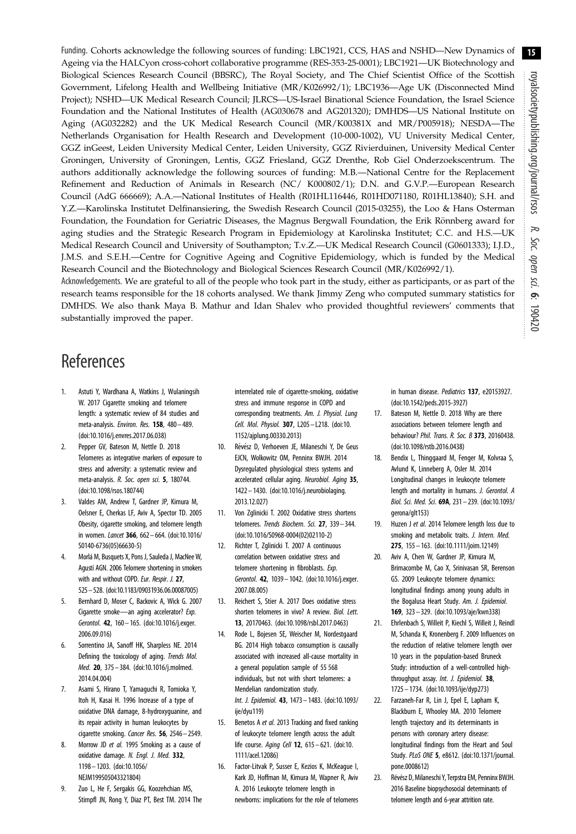<span id="page-14-0"></span>Funding. Cohorts acknowledge the following sources of funding: LBC1921, CCS, HAS and NSHD—New Dynamics of Ageing via the HALCyon cross-cohort collaborative programme (RES-353-25-0001); LBC1921—UK Biotechnology and Biological Sciences Research Council (BBSRC), The Royal Society, and The Chief Scientist Office of the Scottish Government, Lifelong Health and Wellbeing Initiative (MR/K026992/1); LBC1936—Age UK (Disconnected Mind Project); NSHD—UK Medical Research Council; JLRCS—US-Israel Binational Science Foundation, the Israel Science Foundation and the National Institutes of Health (AG030678 and AG201320); DMHDS—US National Institute on Aging (AG032282) and the UK Medical Research Council (MR/K00381X and MR/P005918); NESDA—The Netherlands Organisation for Health Research and Development (10-000-1002), VU University Medical Center, GGZ inGeest, Leiden University Medical Center, Leiden University, GGZ Rivierduinen, University Medical Center Groningen, University of Groningen, Lentis, GGZ Friesland, GGZ Drenthe, Rob Giel Onderzoekscentrum. The authors additionally acknowledge the following sources of funding: M.B.—National Centre for the Replacement Refinement and Reduction of Animals in Research (NC/ K000802/1); D.N. and G.V.P.—European Research Council (AdG 666669); A.A.—National Institutes of Health (R01HL116446, R01HD071180, R01HL13840); S.H. and Y.Z.—Karolinska Institutet Delfinansiering, the Swedish Research Council (2015-03255), the Loo & Hans Osterman Foundation, the Foundation for Geriatric Diseases, the Magnus Bergwall Foundation, the Erik Rönnberg award for aging studies and the Strategic Research Program in Epidemiology at Karolinska Institutet; C.C. and H.S.—UK Medical Research Council and University of Southampton; T.v.Z.—UK Medical Research Council (G0601333); I.J.D., J.M.S. and S.E.H.—Centre for Cognitive Ageing and Cognitive Epidemiology, which is funded by the Medical Research Council and the Biotechnology and Biological Sciences Research Council (MR/K026992/1).

Acknowledgements. We are grateful to all of the people who took part in the study, either as participants, or as part of the research teams responsible for the 18 cohorts analysed. We thank Jimmy Zeng who computed summary statistics for DMHDS. We also thank Maya B. Mathur and Idan Shalev who provided thoughtful reviewers' comments that substantially improved the paper.

# **References**

- 1. Astuti Y, Wardhana A, Watkins J, Wulaningsih W. 2017 Cigarette smoking and telomere length: a systematic review of 84 studies and meta-analysis. Environ. Res. 158, 480– 489. ([doi:10.1016/j.envres.2017.06.038\)](http://dx.doi.org/10.1016/j.envres.2017.06.038)
- 2. Pepper GV, Bateson M, Nettle D. 2018 Telomeres as integrative markers of exposure to stress and adversity: a systematic review and meta-analysis. R. Soc. open sci. 5, 180744. ([doi:10.1098/rsos.180744\)](http://dx.doi.org/10.1098/rsos.180744)
- 3. Valdes AM, Andrew T, Gardner JP, Kimura M, Oelsner E, Cherkas LF, Aviv A, Spector TD. 2005 Obesity, cigarette smoking, and telomere length in women. Lancet 366, 662– 664. [\(doi:10.1016/](http://dx.doi.org/10.1016/S0140-6736(05)66630-5) [S0140-6736\(05\)66630-5\)](http://dx.doi.org/10.1016/S0140-6736(05)66630-5)
- 4. Morlá M, Busquets X, Pons J, Sauleda J, MacNee W, Agustí AGN. 2006 Telomere shortening in smokers with and without COPD. Eur. Respir. J. 27. 525–528. ([doi:10.1183/09031936.06.00087005\)](http://dx.doi.org/10.1183/09031936.06.00087005)
- 5. Bernhard D, Moser C, Backovic A, Wick G. 2007 Cigarette smoke—an aging accelerator? Exp. Gerontol. 42, 160– 165. ([doi:10.1016/j.exger.](http://dx.doi.org/10.1016/j.exger.2006.09.016) [2006.09.016](http://dx.doi.org/10.1016/j.exger.2006.09.016))
- 6. Sorrentino JA, Sanoff HK, Sharpless NE. 2014 Defining the toxicology of aging. Trends Mol. Med. 20, 375– 384. ([doi:10.1016/j.molmed.](http://dx.doi.org/10.1016/j.molmed.2014.04.004) [2014.04.004](http://dx.doi.org/10.1016/j.molmed.2014.04.004))
- 7. Asami S, Hirano T, Yamaguchi R, Tomioka Y, Itoh H, Kasai H. 1996 Increase of a type of oxidative DNA damage, 8-hydroxyguanine, and its repair activity in human leukocytes by cigarette smoking. Cancer Res. 56, 2546-2549.
- 8. Morrow JD et al. 1995 Smoking as a cause of oxidative damage. N. Engl. J. Med. 332, 1198 – 1203. ([doi:10.1056/](http://dx.doi.org/10.1056/NEJM199505043321804) [NEJM199505043321804\)](http://dx.doi.org/10.1056/NEJM199505043321804)
- 9. Zuo L, He F, Sergakis GG, Koozehchian MS, Stimpfl JN, Rong Y, Diaz PT, Best TM. 2014 The

interrelated role of cigarette-smoking, oxidative stress and immune response in COPD and corresponding treatments. Am. J. Physiol. Lung Cell. Mol. Physiol. 307, L205 – L218. ([doi:10.](http://dx.doi.org/10.1152/ajplung.00330.2013) [1152/ajplung.00330.2013\)](http://dx.doi.org/10.1152/ajplung.00330.2013)

- 10. Révész D, Verhoeven JE, Milaneschi Y, De Geus EJCN, Wolkowitz OM, Penninx BWJH. 2014 Dysregulated physiological stress systems and accelerated cellular aging. Neurobiol. Aging 35, 1422 – 1430. [\(doi:10.1016/j.neurobiolaging.](http://dx.doi.org/10.1016/j.neurobiolaging.2013.12.027) [2013.12.027\)](http://dx.doi.org/10.1016/j.neurobiolaging.2013.12.027)
- 11. Von Zglinicki T. 2002 Oxidative stress shortens telomeres. Trends Biochem. Sci. 27, 339– 344. ([doi:10.1016/S0968-0004\(02\)02110-2](http://dx.doi.org/10.1016/S0968-0004(02)02110-2))
- 12. Richter T, Zglinicki T. 2007 A continuous correlation between oxidative stress and telomere shortening in fibroblasts. Exp. Gerontol. 42, 1039– 1042. [\(doi:10.1016/j.exger.](http://dx.doi.org/10.1016/j.exger.2007.08.005) [2007.08.005\)](http://dx.doi.org/10.1016/j.exger.2007.08.005)
- 13. Reichert S, Stier A. 2017 Does oxidative stress shorten telomeres in vivo? A review. Biol. Lett. 13, 20170463. [\(doi:10.1098/rsbl.2017.0463\)](http://dx.doi.org/10.1098/rsbl.2017.0463)
- 14. Rode L, Bojesen SE, Weischer M, Nordestgaard BG. 2014 High tobacco consumption is causally associated with increased all-cause mortality in a general population sample of 55 568 individuals, but not with short telomeres: a Mendelian randomization study. Int. J. Epidemiol. 43, 1473 – 1483. ([doi:10.1093/](http://dx.doi.org/10.1093/ije/dyu119) [ije/dyu119](http://dx.doi.org/10.1093/ije/dyu119))
- 15. Benetos A et al. 2013 Tracking and fixed ranking of leukocyte telomere length across the adult life course. Aging Cell 12, 615-621. ([doi:10.](http://dx.doi.org/10.1111/acel.12086) [1111/acel.12086](http://dx.doi.org/10.1111/acel.12086))
- 16. Factor-Litvak P, Susser E, Kezios K, McKeague I, Kark JD, Hoffman M, Kimura M, Wapner R, Aviv A. 2016 Leukocyte telomere length in newborns: implications for the role of telomeres

in human disease. Pediatrics 137, e20153927. [\(doi:10.1542/peds.2015-3927\)](http://dx.doi.org/10.1542/peds.2015-3927)

- 17. Bateson M, Nettle D. 2018 Why are there associations between telomere length and behaviour? Phil. Trans. R. Soc. B 373, 20160438. [\(doi:10.1098/rstb.2016.0438](http://dx.doi.org/10.1098/rstb.2016.0438))
- 18. Bendix L, Thinggaard M, Fenger M, Kolvraa S, Avlund K, Linneberg A, Osler M. 2014 Longitudinal changes in leukocyte telomere length and mortality in humans. J. Gerontol. A Biol. Sci. Med. Sci. 69A, 231– 239. ([doi:10.1093/](http://dx.doi.org/10.1093/gerona/glt153) [gerona/glt153\)](http://dx.doi.org/10.1093/gerona/glt153)
- 19. Huzen J et al. 2014 Telomere length loss due to smoking and metabolic traits. J. Intern. Med. 275, 155– 163. ([doi:10.1111/joim.12149](http://dx.doi.org/10.1111/joim.12149))
- 20. Aviv A, Chen W, Gardner JP, Kimura M, Brimacombe M, Cao X, Srinivasan SR, Berenson GS. 2009 Leukocyte telomere dynamics: longitudinal findings among young adults in the Bogalusa Heart Study. Am. J. Epidemiol. 169, 323– 329. ([doi:10.1093/aje/kwn338\)](http://dx.doi.org/10.1093/aje/kwn338)
- 21. Ehrlenbach S, Willeit P, Kiechl S, Willeit J, Reindl M, Schanda K, Kronenberg F. 2009 Influences on the reduction of relative telomere length over 10 years in the population-based Bruneck Study: introduction of a well-controlled highthroughput assay. Int. J. Epidemiol. 38, 1725 – 1734. [\(doi:10.1093/ije/dyp273](http://dx.doi.org/10.1093/ije/dyp273))
- 22. Farzaneh-Far R, Lin J, Epel E, Lapham K, Blackburn E, Whooley MA. 2010 Telomere length trajectory and its determinants in persons with coronary artery disease: longitudinal findings from the Heart and Soul Study. PLoS ONE 5, e8612. [\(doi:10.1371/journal.](http://dx.doi.org/10.1371/journal.pone.0008612) [pone.0008612](http://dx.doi.org/10.1371/journal.pone.0008612))
- 23. Révész D, Milaneschi Y, Terpstra EM, Penninx BWJH. 2016 Baseline biopsychosocial determinants of telomere length and 6-year attrition rate.